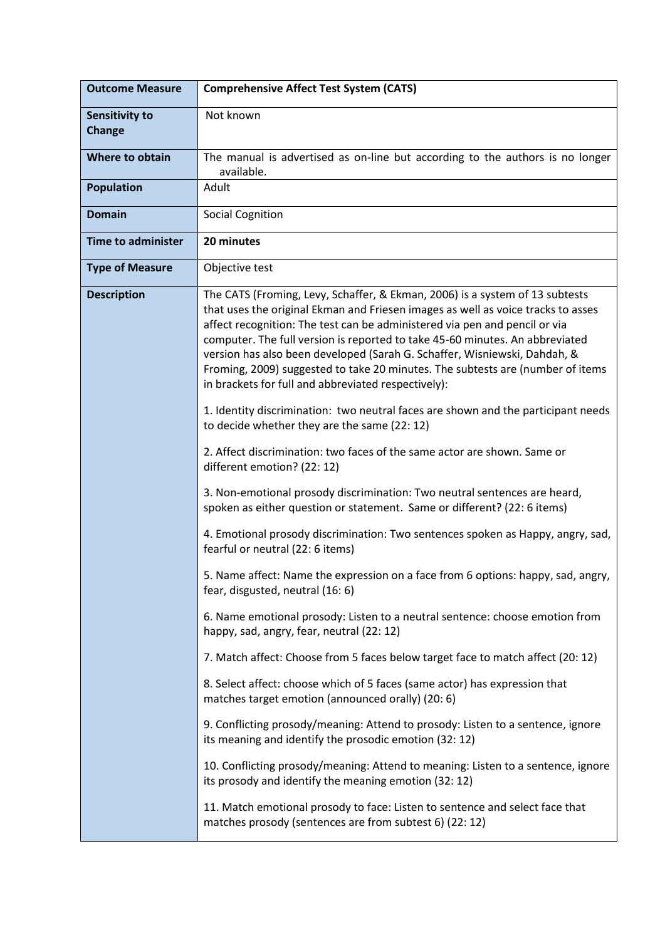| <b>Outcome Measure</b>          | <b>Comprehensive Affect Test System (CATS)</b>                                                                                                                                                                                                                                                                                                                                                                                                                                                                                                       |
|---------------------------------|------------------------------------------------------------------------------------------------------------------------------------------------------------------------------------------------------------------------------------------------------------------------------------------------------------------------------------------------------------------------------------------------------------------------------------------------------------------------------------------------------------------------------------------------------|
| Sensitivity to<br><b>Change</b> | Not known                                                                                                                                                                                                                                                                                                                                                                                                                                                                                                                                            |
| <b>Where to obtain</b>          | The manual is advertised as on-line but according to the authors is no longer<br>available.                                                                                                                                                                                                                                                                                                                                                                                                                                                          |
| <b>Population</b>               | Adult                                                                                                                                                                                                                                                                                                                                                                                                                                                                                                                                                |
| <b>Domain</b>                   | <b>Social Cognition</b>                                                                                                                                                                                                                                                                                                                                                                                                                                                                                                                              |
| <b>Time to administer</b>       | 20 minutes                                                                                                                                                                                                                                                                                                                                                                                                                                                                                                                                           |
| <b>Type of Measure</b>          | Objective test                                                                                                                                                                                                                                                                                                                                                                                                                                                                                                                                       |
| <b>Description</b>              | The CATS (Froming, Levy, Schaffer, & Ekman, 2006) is a system of 13 subtests<br>that uses the original Ekman and Friesen images as well as voice tracks to asses<br>affect recognition: The test can be administered via pen and pencil or via<br>computer. The full version is reported to take 45-60 minutes. An abbreviated<br>version has also been developed (Sarah G. Schaffer, Wisniewski, Dahdah, &<br>Froming, 2009) suggested to take 20 minutes. The subtests are (number of items<br>in brackets for full and abbreviated respectively): |
|                                 | 1. Identity discrimination: two neutral faces are shown and the participant needs<br>to decide whether they are the same (22: 12)                                                                                                                                                                                                                                                                                                                                                                                                                    |
|                                 | 2. Affect discrimination: two faces of the same actor are shown. Same or<br>different emotion? (22: 12)                                                                                                                                                                                                                                                                                                                                                                                                                                              |
|                                 | 3. Non-emotional prosody discrimination: Two neutral sentences are heard,<br>spoken as either question or statement. Same or different? (22: 6 items)                                                                                                                                                                                                                                                                                                                                                                                                |
|                                 | 4. Emotional prosody discrimination: Two sentences spoken as Happy, angry, sad,<br>fearful or neutral (22: 6 items)                                                                                                                                                                                                                                                                                                                                                                                                                                  |
|                                 | 5. Name affect: Name the expression on a face from 6 options: happy, sad, angry,<br>fear, disgusted, neutral (16: 6)                                                                                                                                                                                                                                                                                                                                                                                                                                 |
|                                 | 6. Name emotional prosody: Listen to a neutral sentence: choose emotion from<br>happy, sad, angry, fear, neutral (22: 12)                                                                                                                                                                                                                                                                                                                                                                                                                            |
|                                 | 7. Match affect: Choose from 5 faces below target face to match affect (20: 12)                                                                                                                                                                                                                                                                                                                                                                                                                                                                      |
|                                 | 8. Select affect: choose which of 5 faces (same actor) has expression that<br>matches target emotion (announced orally) (20: 6)                                                                                                                                                                                                                                                                                                                                                                                                                      |
|                                 | 9. Conflicting prosody/meaning: Attend to prosody: Listen to a sentence, ignore<br>its meaning and identify the prosodic emotion (32: 12)                                                                                                                                                                                                                                                                                                                                                                                                            |
|                                 | 10. Conflicting prosody/meaning: Attend to meaning: Listen to a sentence, ignore<br>its prosody and identify the meaning emotion (32: 12)                                                                                                                                                                                                                                                                                                                                                                                                            |
|                                 | 11. Match emotional prosody to face: Listen to sentence and select face that<br>matches prosody (sentences are from subtest 6) (22: 12)                                                                                                                                                                                                                                                                                                                                                                                                              |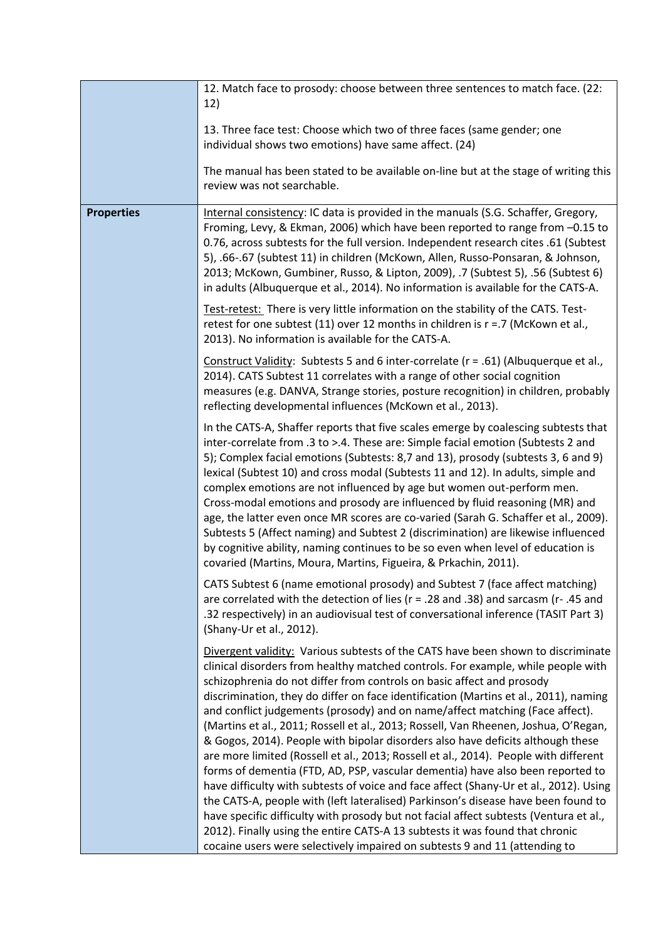|                   | 12. Match face to prosody: choose between three sentences to match face. (22:<br>12)                                                                                                                                                                                                                                                                                                                                                                                                                                                                                                                                                                                                                                                                                                                                                      |
|-------------------|-------------------------------------------------------------------------------------------------------------------------------------------------------------------------------------------------------------------------------------------------------------------------------------------------------------------------------------------------------------------------------------------------------------------------------------------------------------------------------------------------------------------------------------------------------------------------------------------------------------------------------------------------------------------------------------------------------------------------------------------------------------------------------------------------------------------------------------------|
|                   | 13. Three face test: Choose which two of three faces (same gender; one<br>individual shows two emotions) have same affect. (24)                                                                                                                                                                                                                                                                                                                                                                                                                                                                                                                                                                                                                                                                                                           |
|                   | The manual has been stated to be available on-line but at the stage of writing this<br>review was not searchable.                                                                                                                                                                                                                                                                                                                                                                                                                                                                                                                                                                                                                                                                                                                         |
| <b>Properties</b> | Internal consistency: IC data is provided in the manuals (S.G. Schaffer, Gregory,<br>Froming, Levy, & Ekman, 2006) which have been reported to range from -0.15 to<br>0.76, across subtests for the full version. Independent research cites .61 (Subtest<br>5), .66-.67 (subtest 11) in children (McKown, Allen, Russo-Ponsaran, & Johnson,<br>2013; McKown, Gumbiner, Russo, & Lipton, 2009), .7 (Subtest 5), .56 (Subtest 6)<br>in adults (Albuquerque et al., 2014). No information is available for the CATS-A.                                                                                                                                                                                                                                                                                                                      |
|                   | Test-retest: There is very little information on the stability of the CATS. Test-<br>retest for one subtest (11) over 12 months in children is $r = 0.7$ (McKown et al.,<br>2013). No information is available for the CATS-A.                                                                                                                                                                                                                                                                                                                                                                                                                                                                                                                                                                                                            |
|                   | Construct Validity: Subtests 5 and 6 inter-correlate ( $r = .61$ ) (Albuquerque et al.,<br>2014). CATS Subtest 11 correlates with a range of other social cognition<br>measures (e.g. DANVA, Strange stories, posture recognition) in children, probably<br>reflecting developmental influences (McKown et al., 2013).                                                                                                                                                                                                                                                                                                                                                                                                                                                                                                                    |
|                   | In the CATS-A, Shaffer reports that five scales emerge by coalescing subtests that<br>inter-correlate from .3 to >.4. These are: Simple facial emotion (Subtests 2 and<br>5); Complex facial emotions (Subtests: 8,7 and 13), prosody (subtests 3, 6 and 9)<br>lexical (Subtest 10) and cross modal (Subtests 11 and 12). In adults, simple and<br>complex emotions are not influenced by age but women out-perform men.<br>Cross-modal emotions and prosody are influenced by fluid reasoning (MR) and<br>age, the latter even once MR scores are co-varied (Sarah G. Schaffer et al., 2009).<br>Subtests 5 (Affect naming) and Subtest 2 (discrimination) are likewise influenced<br>by cognitive ability, naming continues to be so even when level of education is<br>covaried (Martins, Moura, Martins, Figueira, & Prkachin, 2011). |
|                   | CATS Subtest 6 (name emotional prosody) and Subtest 7 (face affect matching)<br>are correlated with the detection of lies ( $r = .28$ and .38) and sarcasm ( $r - .45$ and<br>.32 respectively) in an audiovisual test of conversational inference (TASIT Part 3)<br>(Shany-Ur et al., 2012).                                                                                                                                                                                                                                                                                                                                                                                                                                                                                                                                             |
|                   | Divergent validity: Various subtests of the CATS have been shown to discriminate<br>clinical disorders from healthy matched controls. For example, while people with<br>schizophrenia do not differ from controls on basic affect and prosody<br>discrimination, they do differ on face identification (Martins et al., 2011), naming<br>and conflict judgements (prosody) and on name/affect matching (Face affect).<br>(Martins et al., 2011; Rossell et al., 2013; Rossell, Van Rheenen, Joshua, O'Regan,<br>& Gogos, 2014). People with bipolar disorders also have deficits although these<br>are more limited (Rossell et al., 2013; Rossell et al., 2014). People with different<br>forms of dementia (FTD, AD, PSP, vascular dementia) have also been reported to                                                                 |
|                   | have difficulty with subtests of voice and face affect (Shany-Ur et al., 2012). Using<br>the CATS-A, people with (left lateralised) Parkinson's disease have been found to<br>have specific difficulty with prosody but not facial affect subtests (Ventura et al.,<br>2012). Finally using the entire CATS-A 13 subtests it was found that chronic<br>cocaine users were selectively impaired on subtests 9 and 11 (attending to                                                                                                                                                                                                                                                                                                                                                                                                         |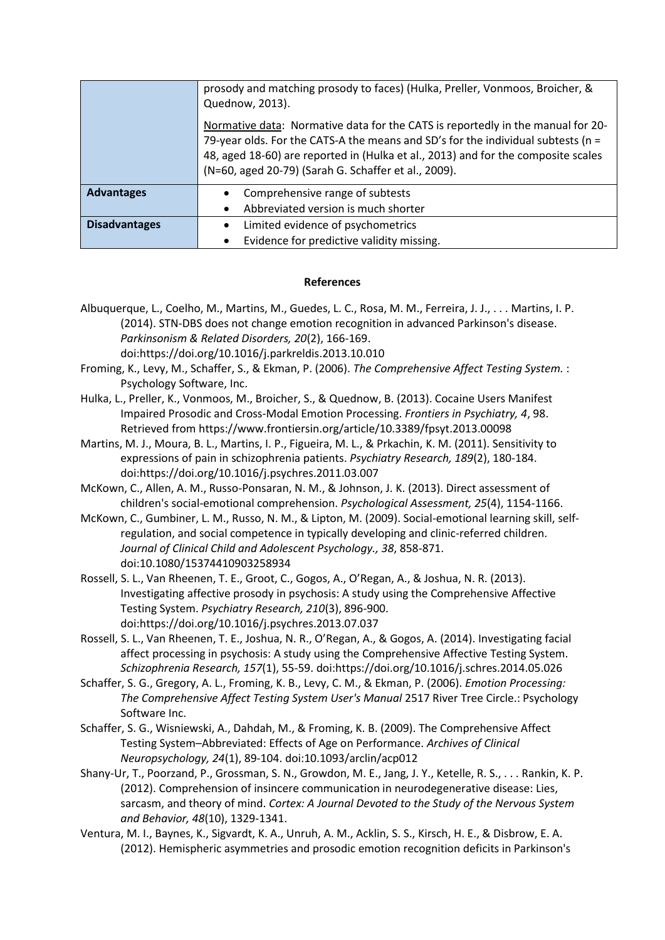|                      | prosody and matching prosody to faces) (Hulka, Preller, Vonmoos, Broicher, &<br>Quednow, 2013).<br>Normative data: Normative data for the CATS is reportedly in the manual for 20-<br>79-year olds. For the CATS-A the means and SD's for the individual subtests ( $n =$<br>48, aged 18-60) are reported in (Hulka et al., 2013) and for the composite scales<br>(N=60, aged 20-79) (Sarah G. Schaffer et al., 2009). |
|----------------------|------------------------------------------------------------------------------------------------------------------------------------------------------------------------------------------------------------------------------------------------------------------------------------------------------------------------------------------------------------------------------------------------------------------------|
| <b>Advantages</b>    | Comprehensive range of subtests<br>Abbreviated version is much shorter                                                                                                                                                                                                                                                                                                                                                 |
| <b>Disadvantages</b> | Limited evidence of psychometrics                                                                                                                                                                                                                                                                                                                                                                                      |
|                      | Evidence for predictive validity missing.                                                                                                                                                                                                                                                                                                                                                                              |

## **References**

- Albuquerque, L., Coelho, M., Martins, M., Guedes, L. C., Rosa, M. M., Ferreira, J. J., . . . Martins, I. P. (2014). STN-DBS does not change emotion recognition in advanced Parkinson's disease. *Parkinsonism & Related Disorders, 20*(2), 166-169. doi:https://doi.org/10.1016/j.parkreldis.2013.10.010
- Froming, K., Levy, M., Schaffer, S., & Ekman, P. (2006). *The Comprehensive Affect Testing System.* : Psychology Software, Inc.
- Hulka, L., Preller, K., Vonmoos, M., Broicher, S., & Quednow, B. (2013). Cocaine Users Manifest Impaired Prosodic and Cross-Modal Emotion Processing. *Frontiers in Psychiatry, 4*, 98. Retrieved from https://www.frontiersin.org/article/10.3389/fpsyt.2013.00098
- Martins, M. J., Moura, B. L., Martins, I. P., Figueira, M. L., & Prkachin, K. M. (2011). Sensitivity to expressions of pain in schizophrenia patients. *Psychiatry Research, 189*(2), 180-184. doi:https://doi.org/10.1016/j.psychres.2011.03.007
- McKown, C., Allen, A. M., Russo-Ponsaran, N. M., & Johnson, J. K. (2013). Direct assessment of children's social-emotional comprehension. *Psychological Assessment, 25*(4), 1154-1166.
- McKown, C., Gumbiner, L. M., Russo, N. M., & Lipton, M. (2009). Social-emotional learning skill, selfregulation, and social competence in typically developing and clinic-referred children. *Journal of Clinical Child and Adolescent Psychology., 38*, 858-871. doi:10.1080/15374410903258934
- Rossell, S. L., Van Rheenen, T. E., Groot, C., Gogos, A., O'Regan, A., & Joshua, N. R. (2013). Investigating affective prosody in psychosis: A study using the Comprehensive Affective Testing System. *Psychiatry Research, 210*(3), 896-900. doi:https://doi.org/10.1016/j.psychres.2013.07.037
- Rossell, S. L., Van Rheenen, T. E., Joshua, N. R., O'Regan, A., & Gogos, A. (2014). Investigating facial affect processing in psychosis: A study using the Comprehensive Affective Testing System. *Schizophrenia Research, 157*(1), 55-59. doi:https://doi.org/10.1016/j.schres.2014.05.026
- Schaffer, S. G., Gregory, A. L., Froming, K. B., Levy, C. M., & Ekman, P. (2006). *Emotion Processing: The Comprehensive Affect Testing System User's Manual* 2517 River Tree Circle.: Psychology Software Inc.
- Schaffer, S. G., Wisniewski, A., Dahdah, M., & Froming, K. B. (2009). The Comprehensive Affect Testing System–Abbreviated: Effects of Age on Performance. *Archives of Clinical Neuropsychology, 24*(1), 89-104. doi:10.1093/arclin/acp012
- Shany-Ur, T., Poorzand, P., Grossman, S. N., Growdon, M. E., Jang, J. Y., Ketelle, R. S., . . . Rankin, K. P. (2012). Comprehension of insincere communication in neurodegenerative disease: Lies, sarcasm, and theory of mind. *Cortex: A Journal Devoted to the Study of the Nervous System and Behavior, 48*(10), 1329-1341.
- Ventura, M. I., Baynes, K., Sigvardt, K. A., Unruh, A. M., Acklin, S. S., Kirsch, H. E., & Disbrow, E. A. (2012). Hemispheric asymmetries and prosodic emotion recognition deficits in Parkinson's